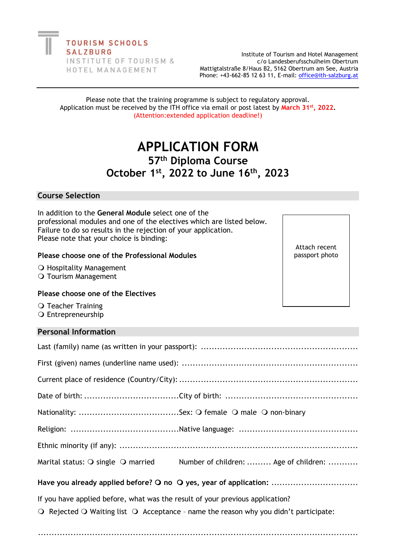Institute of Tourism and Hotel Management c/o Landesberufsschulheim Obertrum Mattigtalstraße 8/Haus B2, 5162 Obertrum am See, Austria Phone: +43-662-85 12 63 11, E-mail: [office@ith-salzburg.at](mailto:office@ith-salzburg.at)

#### Please note that the training programme is subject to regulatory approval. Application must be received by the ITH office via email or post latest by **March 31st, 2022.** (Attention:extended application deadline!)

# **APPLICATION FORM 57th Diploma Course October 1st , 2022 to June 16 th , 2023**

#### **Course Selection**

In addition to the **General Module** select one of the professional modules and one of the electives which are listed below. Failure to do so results in the rejection of your application. Please note that your choice is binding:

#### **Please choose one of the Professional Modules**

O Hospitality Management

O Tourism Management

#### **Please choose one of the Electives**

O Teacher Training O Entrepreneurship

#### **Personal Information**

|                                                                   | Marital status: O single O married Number of children:  Age of children: |  |  |
|-------------------------------------------------------------------|--------------------------------------------------------------------------|--|--|
| Have you already applied before? O no O yes, year of application: |                                                                          |  |  |

If you have applied before, what was the result of your previous application?

......................................................................................................................

 $\Omega$  Rejected  $\Omega$  Waiting list  $\Omega$  Acceptance - name the reason why you didn't participate:

Attach recent passport photo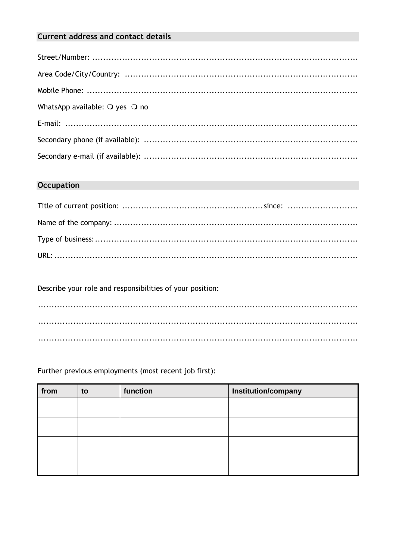# **Current address and contact details**

| WhatsApp available: $\bigcirc$ yes $\bigcirc$ no |
|--------------------------------------------------|
|                                                  |
|                                                  |
|                                                  |

# **Occupation**

Describe your role and responsibilities of your position:

Further previous employments (most recent job first):

| from | to | function | Institution/company |
|------|----|----------|---------------------|
|      |    |          |                     |
|      |    |          |                     |
|      |    |          |                     |
|      |    |          |                     |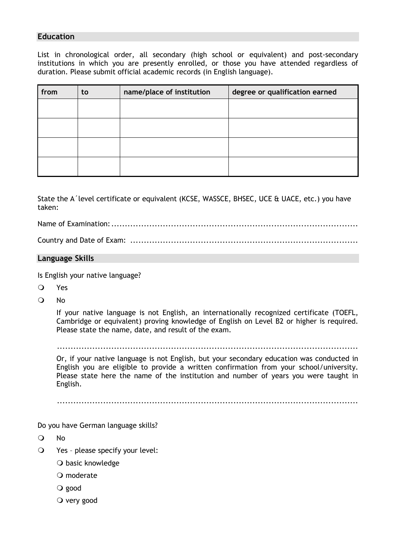## **Education**

List in chronological order, all secondary (high school or equivalent) and post-secondary institutions in which you are presently enrolled, or those you have attended regardless of duration. Please submit official academic records (in English language).

| from | to | name/place of institution | degree or qualification earned |
|------|----|---------------------------|--------------------------------|
|      |    |                           |                                |
|      |    |                           |                                |
|      |    |                           |                                |
|      |    |                           |                                |

State the A´level certificate or equivalent (KCSE, WASSCE, BHSEC, UCE & UACE, etc.) you have taken:

Name of Examination:...........................................................................................

Country and Date of Exam: ....................................................................................

### **Language Skills**

Is English your native language?

- Yes
- O No

If your native language is not English, an internationally recognized certificate (TOEFL, Cambridge or equivalent) proving knowledge of English on Level B2 or higher is required. Please state the name, date, and result of the exam.

...............................................................................................................

Or, if your native language is not English, but your secondary education was conducted in English you are eligible to provide a written confirmation from your school/university. Please state here the name of the institution and number of years you were taught in English.

...............................................................................................................

Do you have German language skills?

No

- Yes please specify your level:
	- O basic knowledge
	- O moderate
	- good
	- $\overline{O}$  very good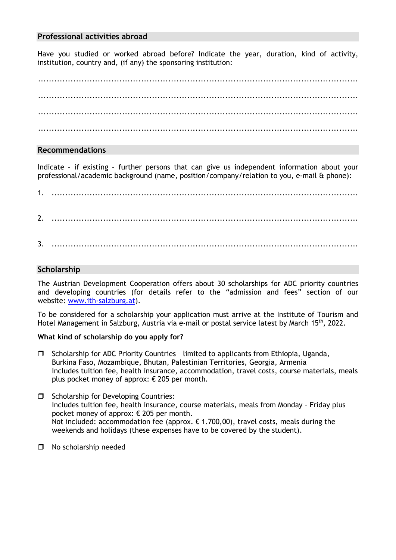### **Professional activities abroad**

Have you studied or worked abroad before? Indicate the year, duration, kind of activity, institution, country and, (if any) the sponsoring institution:

...................................................................................................................... ...................................................................................................................... ...................................................................................................................... ......................................................................................................................

## **Recommendations**

Indicate – if existing – further persons that can give us independent information about your professional/academic background (name, position/company/relation to you, e-mail & phone):

1. ................................................................................................................. 2. ................................................................................................................. 3. .................................................................................................................

# **Scholarship**

The Austrian Development Cooperation offers about 30 scholarships for ADC priority countries and developing countries (for details refer to the "admission and fees" section of our website: [www.ith-salzburg.at\)](http://www.ith-salzburg.at/).

To be considered for a scholarship your application must arrive at the Institute of Tourism and Hotel Management in Salzburg, Austria via e-mail or postal service latest by March 15<sup>th</sup>, 2022.

#### **What kind of scholarship do you apply for?**

- $\square$  Scholarship for ADC Priority Countries limited to applicants from Ethiopia, Uganda, Burkina Faso, Mozambique, Bhutan, Palestinian Territories, Georgia, Armenia Includes tuition fee, health insurance, accommodation, travel costs, course materials, meals plus pocket money of approx: € 205 per month.
- $\Box$  Scholarship for Developing Countries: Includes tuition fee, health insurance, course materials, meals from Monday – Friday plus pocket money of approx: € 205 per month. Not included: accommodation fee (approx.  $\epsilon$  1.700,00), travel costs, meals during the weekends and holidays (these expenses have to be covered by the student).
- □ No scholarship needed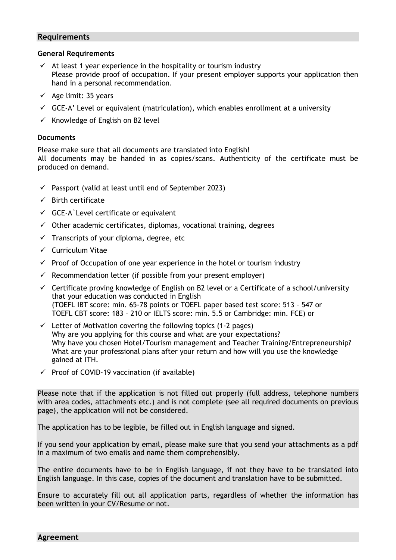#### **Requirements**

#### **General Requirements**

- $\checkmark$  At least 1 year experience in the hospitality or tourism industry Please provide proof of occupation. If your present employer supports your application then hand in a personal recommendation.
- $\checkmark$  Age limit: 35 years
- $\checkmark$  GCE-A' Level or equivalent (matriculation), which enables enrollment at a university
- $\checkmark$  Knowledge of English on B2 level

#### **Documents**

Please make sure that all documents are translated into English! All documents may be handed in as copies/scans. Authenticity of the certificate must be produced on demand.

- $\checkmark$  Passport (valid at least until end of September 2023)
- $\checkmark$  Birth certificate
- $\checkmark$  GCE-A Level certificate or equivalent
- $\checkmark$  Other academic certificates, diplomas, vocational training, degrees
- $\checkmark$  Transcripts of your diploma, degree, etc
- ✓ Curriculum Vitae
- $\checkmark$  Proof of Occupation of one year experience in the hotel or tourism industry
- $\checkmark$  Recommendation letter (if possible from your present employer)
- $\checkmark$  Certificate proving knowledge of English on B2 level or a Certificate of a school/university that your education was conducted in English (TOEFL IBT score: min. 65-78 points or TOEFL paper based test score: 513 – 547 or TOEFL CBT score: 183 – 210 or IELTS score: min. 5.5 or Cambridge: min. FCE) or
- $\checkmark$  Letter of Motivation covering the following topics (1-2 pages) Why are you applying for this course and what are your expectations? Why have you chosen Hotel/Tourism management and Teacher Training/Entrepreneurship? What are your professional plans after your return and how will you use the knowledge gained at ITH.
- $\checkmark$  Proof of COVID-19 vaccination (if available)

Please note that if the application is not filled out properly (full address, telephone numbers with area codes, attachments etc.) and is not complete (see all required documents on previous page), the application will not be considered.

The application has to be legible, be filled out in English language and signed.

If you send your application by email, please make sure that you send your attachments as a pdf in a maximum of two emails and name them comprehensibly.

The entire documents have to be in English language, if not they have to be translated into English language. In this case, copies of the document and translation have to be submitted.

Ensure to accurately fill out all application parts, regardless of whether the information has been written in your CV/Resume or not.